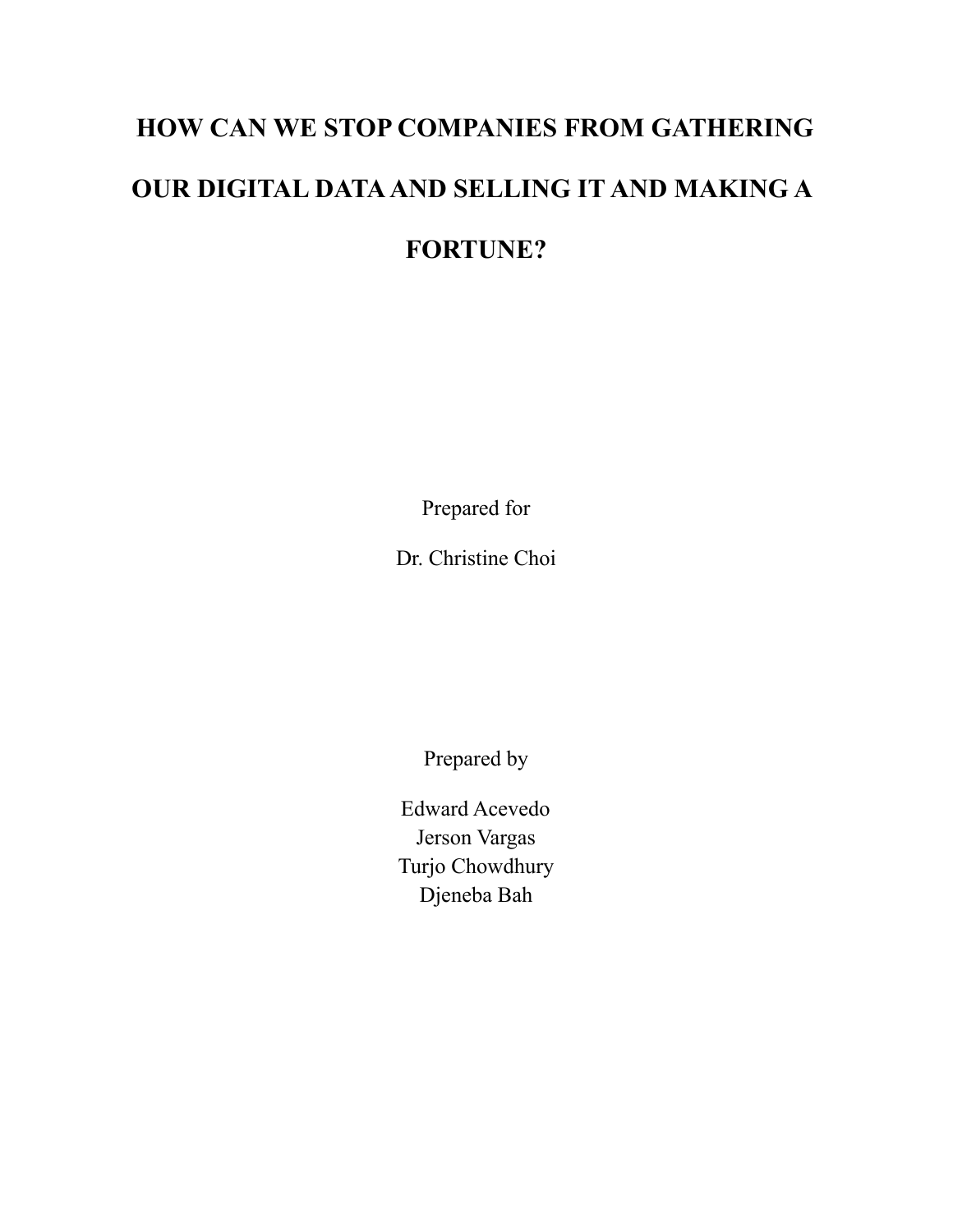# **HOW CAN WE STOP COMPANIES FROM GATHERING OUR DIGITAL DATAAND SELLING IT AND MAKING A FORTUNE?**

Prepared for

Dr. Christine Choi

Prepared by

Edward Acevedo Jerson Vargas Turjo Chowdhury Djeneba Bah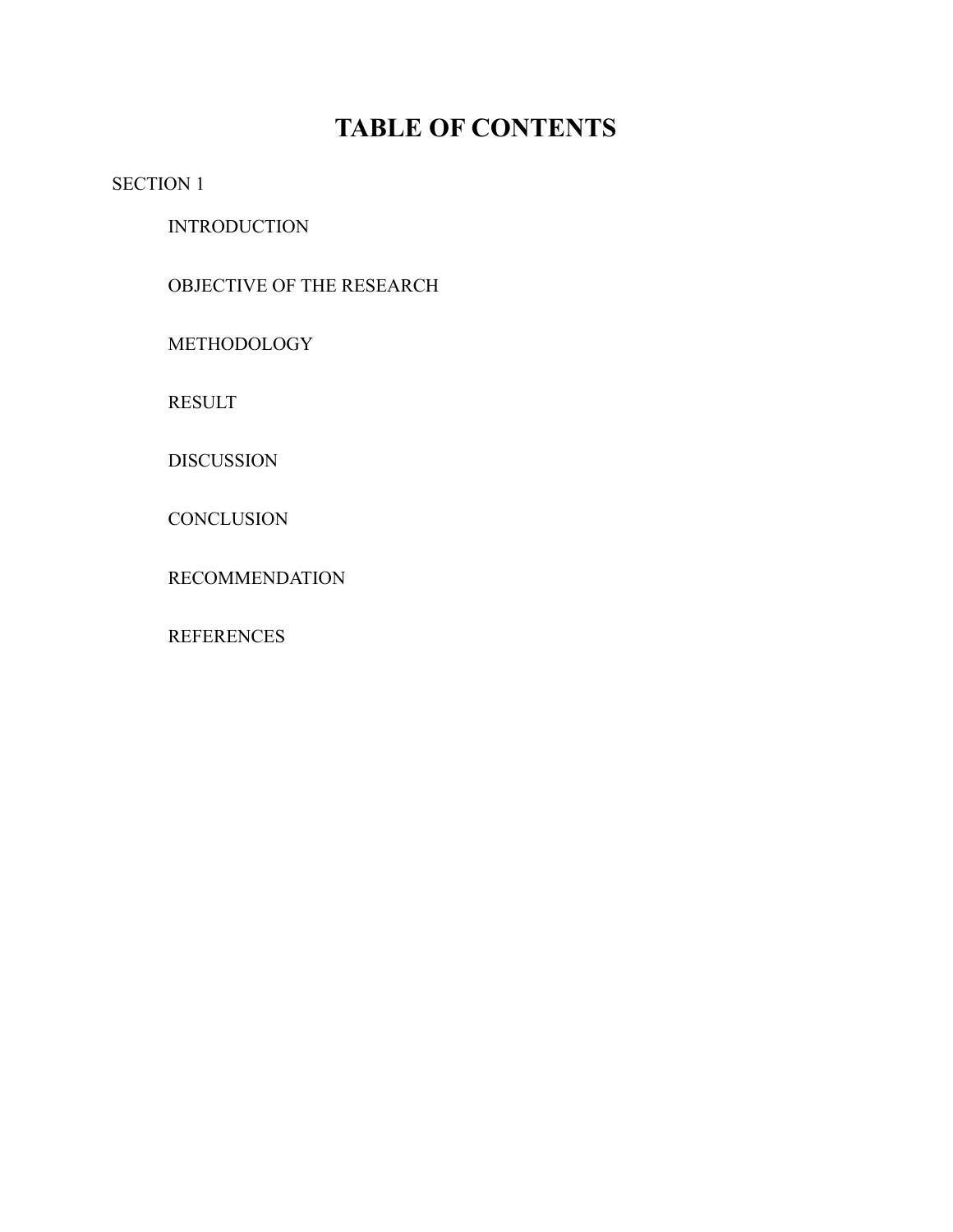### **TABLE OF CONTENTS**

SECTION 1

**INTRODUCTION** 

OBJECTIVE OF THE RESEARCH

METHODOLOGY

RESULT

DISCUSSION

**CONCLUSION** 

RECOMMENDATION

**REFERENCES**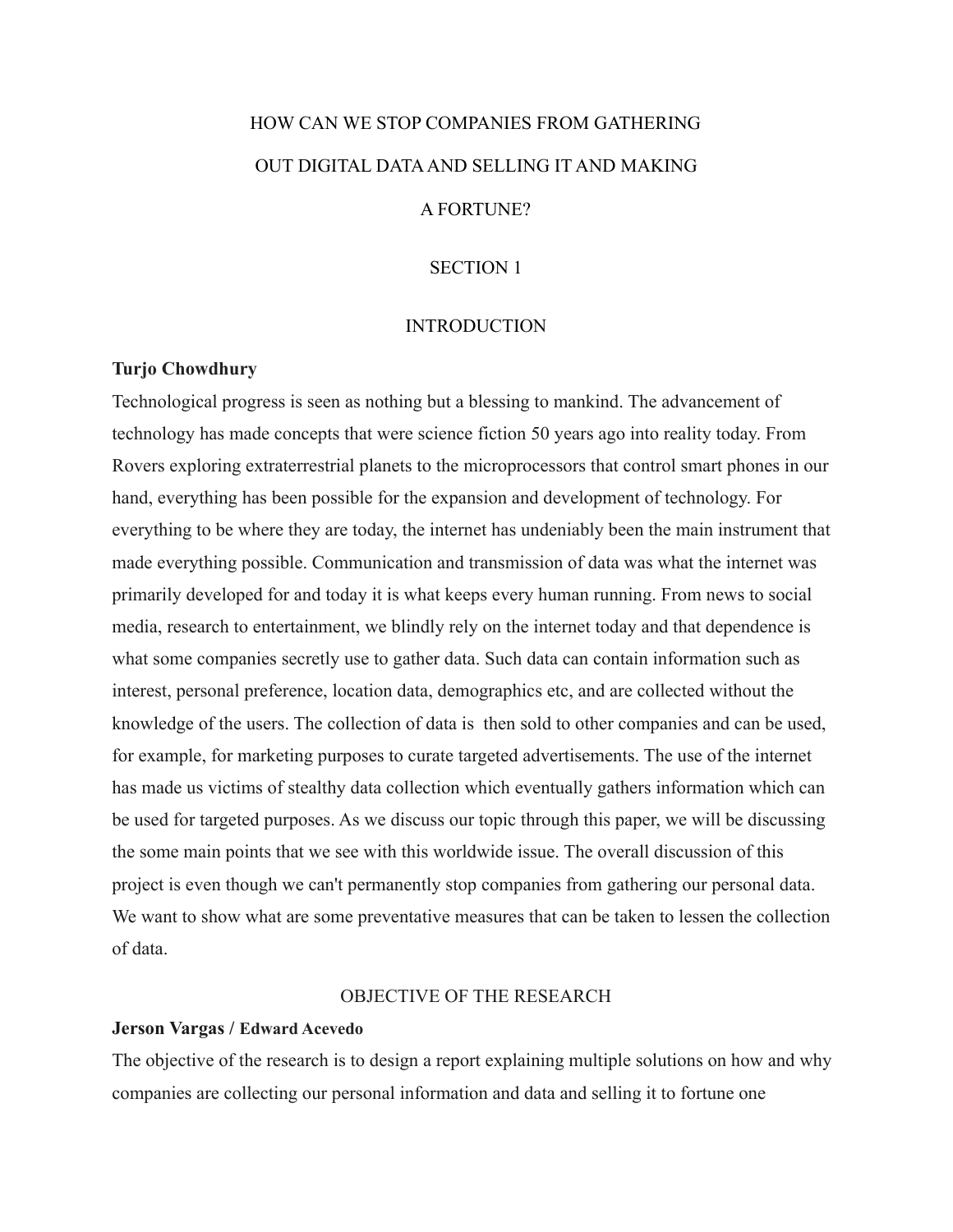## HOW CAN WE STOP COMPANIES FROM GATHERING OUT DIGITAL DATAAND SELLING IT AND MAKING

#### A FORTUNE?

#### SECTION 1

#### **INTRODUCTION**

#### **Turjo Chowdhury**

Technological progress is seen as nothing but a blessing to mankind. The advancement of technology has made concepts that were science fiction 50 years ago into reality today. From Rovers exploring extraterrestrial planets to the microprocessors that control smart phones in our hand, everything has been possible for the expansion and development of technology. For everything to be where they are today, the internet has undeniably been the main instrument that made everything possible. Communication and transmission of data was what the internet was primarily developed for and today it is what keeps every human running. From news to social media, research to entertainment, we blindly rely on the internet today and that dependence is what some companies secretly use to gather data. Such data can contain information such as interest, personal preference, location data, demographics etc, and are collected without the knowledge of the users. The collection of data is then sold to other companies and can be used, for example, for marketing purposes to curate targeted advertisements. The use of the internet has made us victims of stealthy data collection which eventually gathers information which can be used for targeted purposes. As we discuss our topic through this paper, we will be discussing the some main points that we see with this worldwide issue. The overall discussion of this project is even though we can't permanently stop companies from gathering our personal data. We want to show what are some preventative measures that can be taken to lessen the collection of data.

#### OBJECTIVE OF THE RESEARCH

#### **Jerson Vargas / Edward Acevedo**

The objective of the research is to design a report explaining multiple solutions on how and why companies are collecting our personal information and data and selling it to fortune one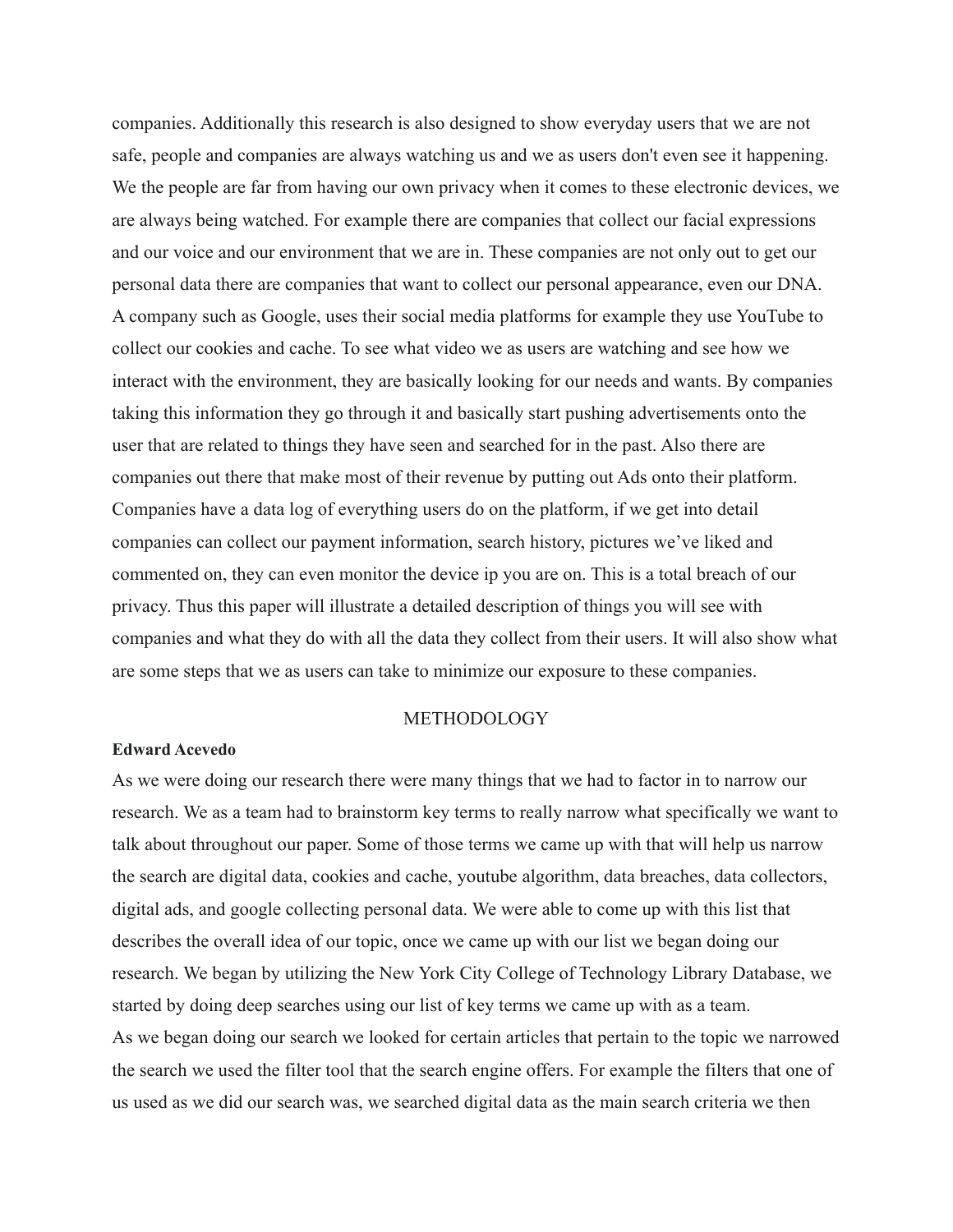companies. Additionally this research is also designed to show everyday users that we are not safe, people and companies are always watching us and we as users don't even see it happening. We the people are far from having our own privacy when it comes to these electronic devices, we are always being watched. For example there are companies that collect our facial expressions and our voice and our environment that we are in. These companies are not only out to get our personal data there are companies that want to collect our personal appearance, even our DNA. A company such as Google, uses their social media platforms for example they use YouTube to collect our cookies and cache. To see what video we as users are watching and see how we interact with the environment, they are basically looking for our needs and wants. By companies taking this information they go through it and basically start pushing advertisements onto the user that are related to things they have seen and searched for in the past. Also there are companies out there that make most of their revenue by putting out Ads onto their platform. Companies have a data log of everything users do on the platform, if we get into detail companies can collect our payment information, search history, pictures we've liked and commented on, they can even monitor the device ip you are on. This is a total breach of our privacy. Thus this paper will illustrate a detailed description of things you will see with companies and what they do with all the data they collect from their users. It will also show what are some steps that we as users can take to minimize our exposure to these companies.

#### METHODOLOGY

#### **Edward Acevedo**

As we were doing our research there were many things that we had to factor in to narrow our research. We as a team had to brainstorm key terms to really narrow what specifically we want to talk about throughout our paper. Some of those terms we came up with that will help us narrow the search are digital data, cookies and cache, youtube algorithm, data breaches, data collectors, digital ads, and google collecting personal data. We were able to come up with this list that describes the overall idea of our topic, once we came up with our list we began doing our research. We began by utilizing the New York City College of Technology Library Database, we started by doing deep searches using our list of key terms we came up with as a team. As we began doing our search we looked for certain articles that pertain to the topic we narrowed the search we used the filter tool that the search engine offers. For example the filters that one of us used as we did our search was, we searched digital data as the main search criteria we then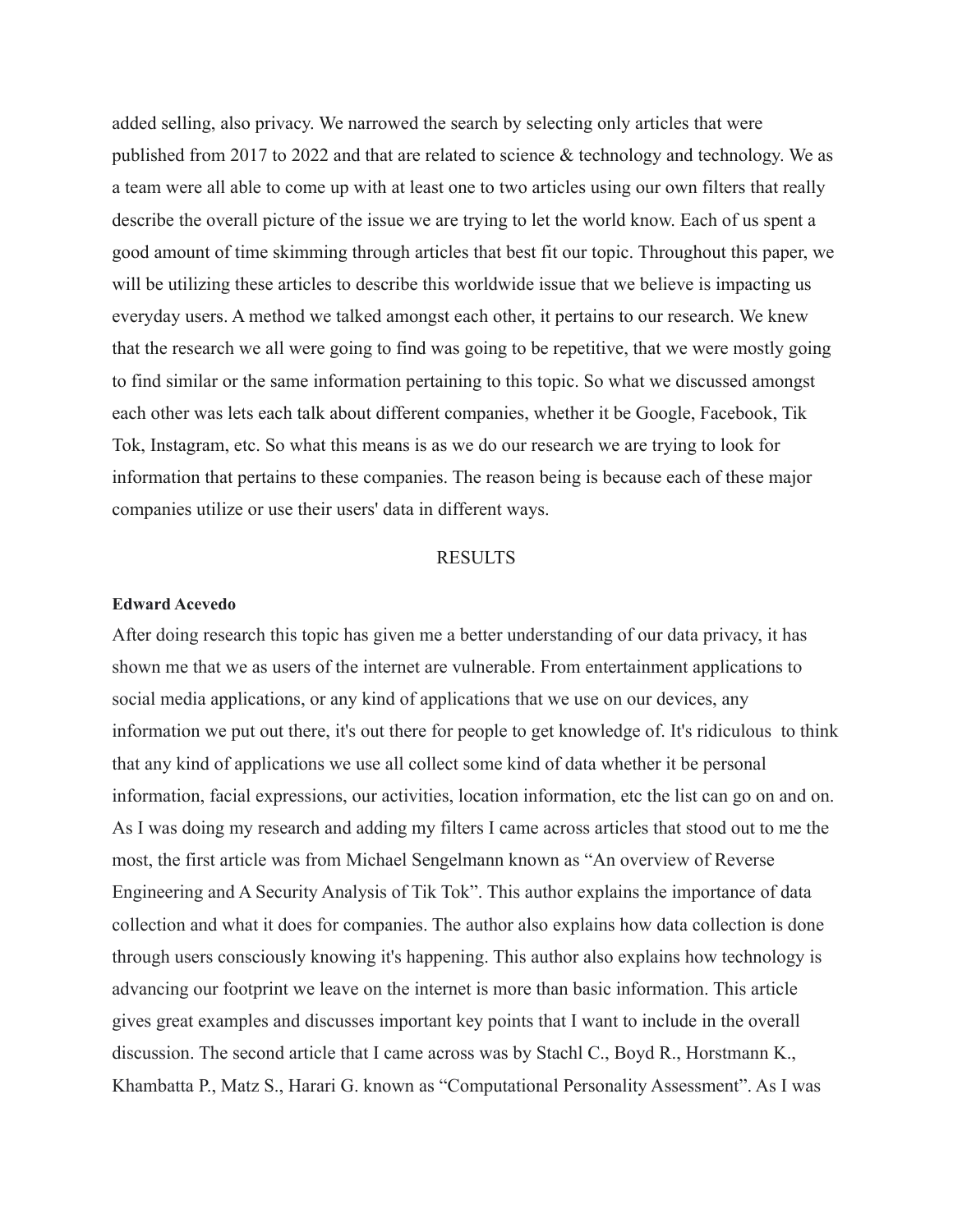added selling, also privacy. We narrowed the search by selecting only articles that were published from 2017 to 2022 and that are related to science  $\&$  technology and technology. We as a team were all able to come up with at least one to two articles using our own filters that really describe the overall picture of the issue we are trying to let the world know. Each of us spent a good amount of time skimming through articles that best fit our topic. Throughout this paper, we will be utilizing these articles to describe this worldwide issue that we believe is impacting us everyday users. A method we talked amongst each other, it pertains to our research. We knew that the research we all were going to find was going to be repetitive, that we were mostly going to find similar or the same information pertaining to this topic. So what we discussed amongst each other was lets each talk about different companies, whether it be Google, Facebook, Tik Tok, Instagram, etc. So what this means is as we do our research we are trying to look for information that pertains to these companies. The reason being is because each of these major companies utilize or use their users' data in different ways.

#### RESULTS

#### **Edward Acevedo**

After doing research this topic has given me a better understanding of our data privacy, it has shown me that we as users of the internet are vulnerable. From entertainment applications to social media applications, or any kind of applications that we use on our devices, any information we put out there, it's out there for people to get knowledge of. It's ridiculous to think that any kind of applications we use all collect some kind of data whether it be personal information, facial expressions, our activities, location information, etc the list can go on and on. As I was doing my research and adding my filters I came across articles that stood out to me the most, the first article was from Michael Sengelmann known as "An overview of Reverse Engineering and A Security Analysis of Tik Tok". This author explains the importance of data collection and what it does for companies. The author also explains how data collection is done through users consciously knowing it's happening. This author also explains how technology is advancing our footprint we leave on the internet is more than basic information. This article gives great examples and discusses important key points that I want to include in the overall discussion. The second article that I came across was by Stachl C., Boyd R., Horstmann K., Khambatta P., Matz S., Harari G. known as "Computational Personality Assessment". As I was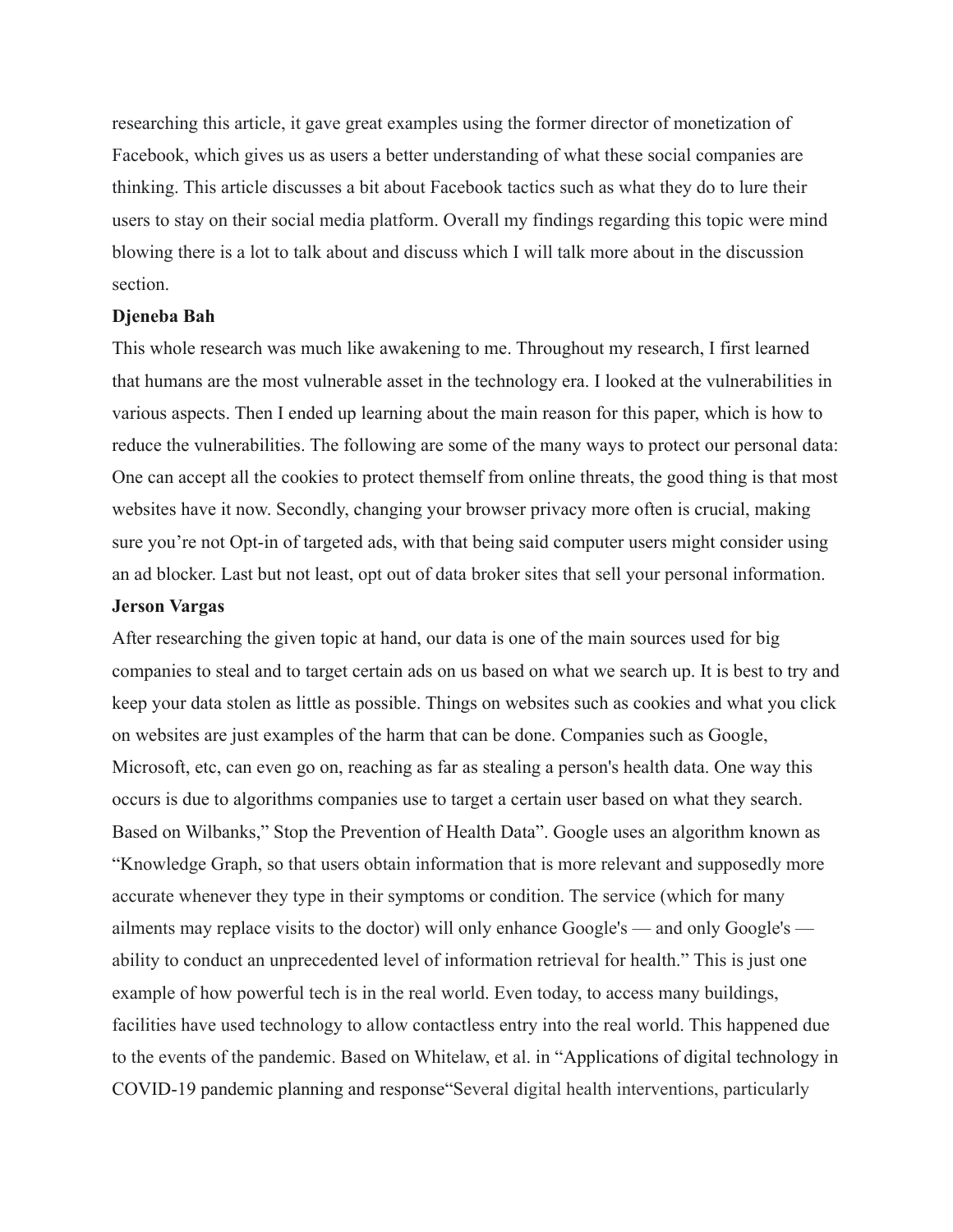researching this article, it gave great examples using the former director of monetization of Facebook, which gives us as users a better understanding of what these social companies are thinking. This article discusses a bit about Facebook tactics such as what they do to lure their users to stay on their social media platform. Overall my findings regarding this topic were mind blowing there is a lot to talk about and discuss which I will talk more about in the discussion section.

#### **Djeneba Bah**

This whole research was much like awakening to me. Throughout my research, I first learned that humans are the most vulnerable asset in the technology era. I looked at the vulnerabilities in various aspects. Then I ended up learning about the main reason for this paper, which is how to reduce the vulnerabilities. The following are some of the many ways to protect our personal data: One can accept all the cookies to protect themself from online threats, the good thing is that most websites have it now. Secondly, changing your browser privacy more often is crucial, making sure you're not Opt-in of targeted ads, with that being said computer users might consider using an ad blocker. Last but not least, opt out of data broker sites that sell your personal information.

#### **Jerson Vargas**

After researching the given topic at hand, our data is one of the main sources used for big companies to steal and to target certain ads on us based on what we search up. It is best to try and keep your data stolen as little as possible. Things on websites such as cookies and what you click on websites are just examples of the harm that can be done. Companies such as Google, Microsoft, etc, can even go on, reaching as far as stealing a person's health data. One way this occurs is due to algorithms companies use to target a certain user based on what they search. Based on Wilbanks," Stop the Prevention of Health Data". Google uses an algorithm known as "Knowledge Graph, so that users obtain information that is more relevant and supposedly more accurate whenever they type in their symptoms or condition. The service (which for many ailments may replace visits to the doctor) will only enhance Google's — and only Google's ability to conduct an unprecedented level of information retrieval for health." This is just one example of how powerful tech is in the real world. Even today, to access many buildings, facilities have used technology to allow contactless entry into the real world. This happened due to the events of the pandemic. Based on Whitelaw, et al. in "Applications of digital technology in COVID-19 pandemic planning and response"Several digital health interventions, particularly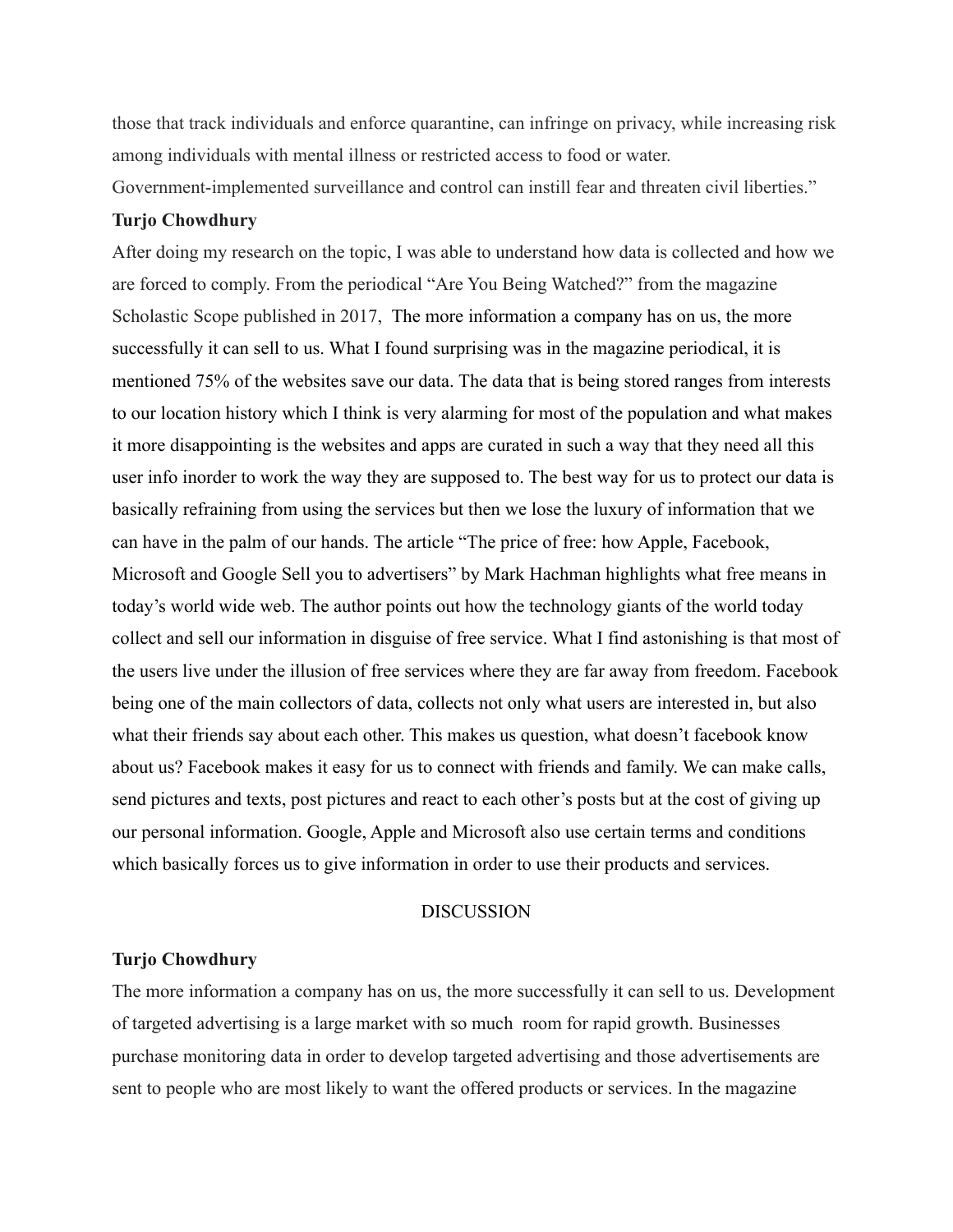those that track individuals and enforce quarantine, can infringe on privacy, while increasing risk among individuals with mental illness or restricted access to food or water. Government-implemented surveillance and control can instill fear and threaten civil liberties."

#### **Turjo Chowdhury**

After doing my research on the topic, I was able to understand how data is collected and how we are forced to comply. From the periodical "Are You Being Watched?" from the magazine Scholastic Scope published in 2017, The more information a company has on us, the more successfully it can sell to us. What I found surprising was in the magazine periodical, it is mentioned 75% of the websites save our data. The data that is being stored ranges from interests to our location history which I think is very alarming for most of the population and what makes it more disappointing is the websites and apps are curated in such a way that they need all this user info inorder to work the way they are supposed to. The best way for us to protect our data is basically refraining from using the services but then we lose the luxury of information that we can have in the palm of our hands. The article "The price of free: how Apple, Facebook, Microsoft and Google Sell you to advertisers" by Mark Hachman highlights what free means in today's world wide web. The author points out how the technology giants of the world today collect and sell our information in disguise of free service. What I find astonishing is that most of the users live under the illusion of free services where they are far away from freedom. Facebook being one of the main collectors of data, collects not only what users are interested in, but also what their friends say about each other. This makes us question, what doesn't facebook know about us? Facebook makes it easy for us to connect with friends and family. We can make calls, send pictures and texts, post pictures and react to each other's posts but at the cost of giving up our personal information. Google, Apple and Microsoft also use certain terms and conditions which basically forces us to give information in order to use their products and services.

#### DISCUSSION

#### **Turjo Chowdhury**

The more information a company has on us, the more successfully it can sell to us. Development of targeted advertising is a large market with so much room for rapid growth. Businesses purchase monitoring data in order to develop targeted advertising and those advertisements are sent to people who are most likely to want the offered products or services. In the magazine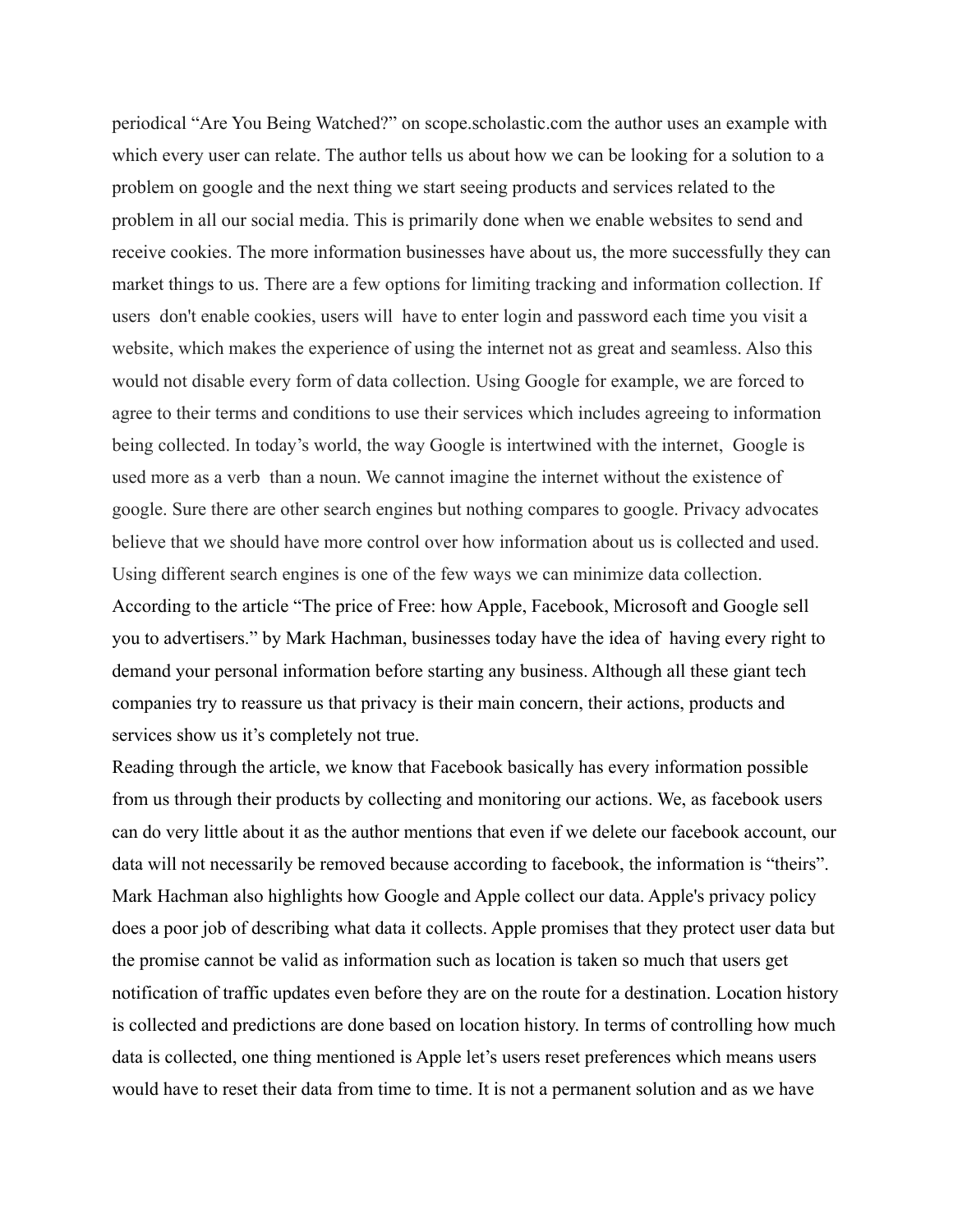periodical "Are You Being Watched?" on scope.scholastic.com the author uses an example with which every user can relate. The author tells us about how we can be looking for a solution to a problem on google and the next thing we start seeing products and services related to the problem in all our social media. This is primarily done when we enable websites to send and receive cookies. The more information businesses have about us, the more successfully they can market things to us. There are a few options for limiting tracking and information collection. If users don't enable cookies, users will have to enter login and password each time you visit a website, which makes the experience of using the internet not as great and seamless. Also this would not disable every form of data collection. Using Google for example, we are forced to agree to their terms and conditions to use their services which includes agreeing to information being collected. In today's world, the way Google is intertwined with the internet, Google is used more as a verb than a noun. We cannot imagine the internet without the existence of google. Sure there are other search engines but nothing compares to google. Privacy advocates believe that we should have more control over how information about us is collected and used. Using different search engines is one of the few ways we can minimize data collection. According to the article "The price of Free: how Apple, Facebook, Microsoft and Google sell you to advertisers." by Mark Hachman, businesses today have the idea of having every right to demand your personal information before starting any business. Although all these giant tech companies try to reassure us that privacy is their main concern, their actions, products and services show us it's completely not true.

Reading through the article, we know that Facebook basically has every information possible from us through their products by collecting and monitoring our actions. We, as facebook users can do very little about it as the author mentions that even if we delete our facebook account, our data will not necessarily be removed because according to facebook, the information is "theirs". Mark Hachman also highlights how Google and Apple collect our data. Apple's privacy policy does a poor job of describing what data it collects. Apple promises that they protect user data but the promise cannot be valid as information such as location is taken so much that users get notification of traffic updates even before they are on the route for a destination. Location history is collected and predictions are done based on location history. In terms of controlling how much data is collected, one thing mentioned is Apple let's users reset preferences which means users would have to reset their data from time to time. It is not a permanent solution and as we have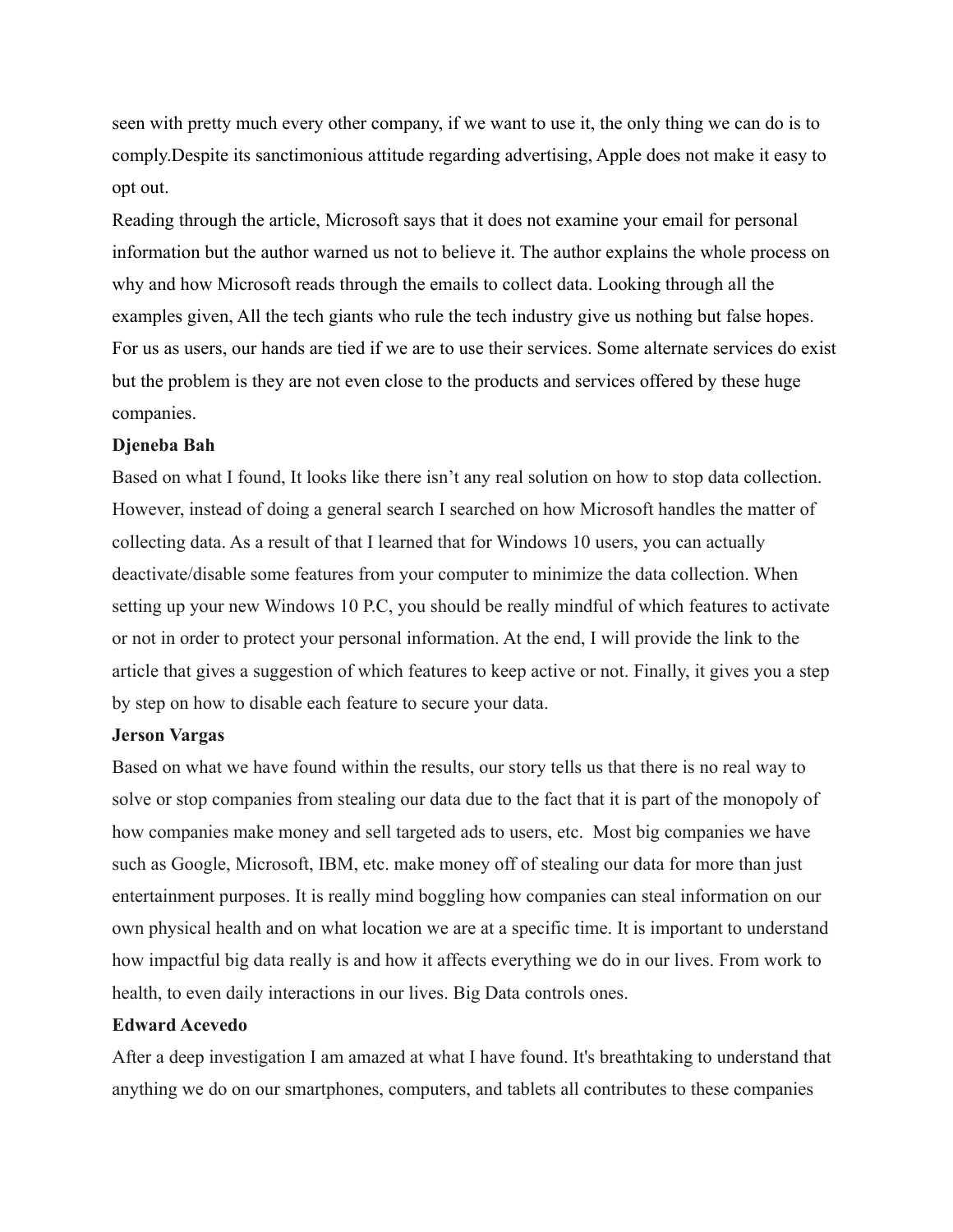seen with pretty much every other company, if we want to use it, the only thing we can do is to comply.Despite its sanctimonious attitude regarding advertising, Apple does not make it easy to opt out.

Reading through the article, Microsoft says that it does not examine your email for personal information but the author warned us not to believe it. The author explains the whole process on why and how Microsoft reads through the emails to collect data. Looking through all the examples given, All the tech giants who rule the tech industry give us nothing but false hopes. For us as users, our hands are tied if we are to use their services. Some alternate services do exist but the problem is they are not even close to the products and services offered by these huge companies.

#### **Djeneba Bah**

Based on what I found, It looks like there isn't any real solution on how to stop data collection. However, instead of doing a general search I searched on how Microsoft handles the matter of collecting data. As a result of that I learned that for Windows 10 users, you can actually deactivate/disable some features from your computer to minimize the data collection. When setting up your new Windows 10 P.C, you should be really mindful of which features to activate or not in order to protect your personal information. At the end, I will provide the link to the article that gives a suggestion of which features to keep active or not. Finally, it gives you a step by step on how to disable each feature to secure your data.

#### **Jerson Vargas**

Based on what we have found within the results, our story tells us that there is no real way to solve or stop companies from stealing our data due to the fact that it is part of the monopoly of how companies make money and sell targeted ads to users, etc. Most big companies we have such as Google, Microsoft, IBM, etc. make money off of stealing our data for more than just entertainment purposes. It is really mind boggling how companies can steal information on our own physical health and on what location we are at a specific time. It is important to understand how impactful big data really is and how it affects everything we do in our lives. From work to health, to even daily interactions in our lives. Big Data controls ones.

#### **Edward Acevedo**

After a deep investigation I am amazed at what I have found. It's breathtaking to understand that anything we do on our smartphones, computers, and tablets all contributes to these companies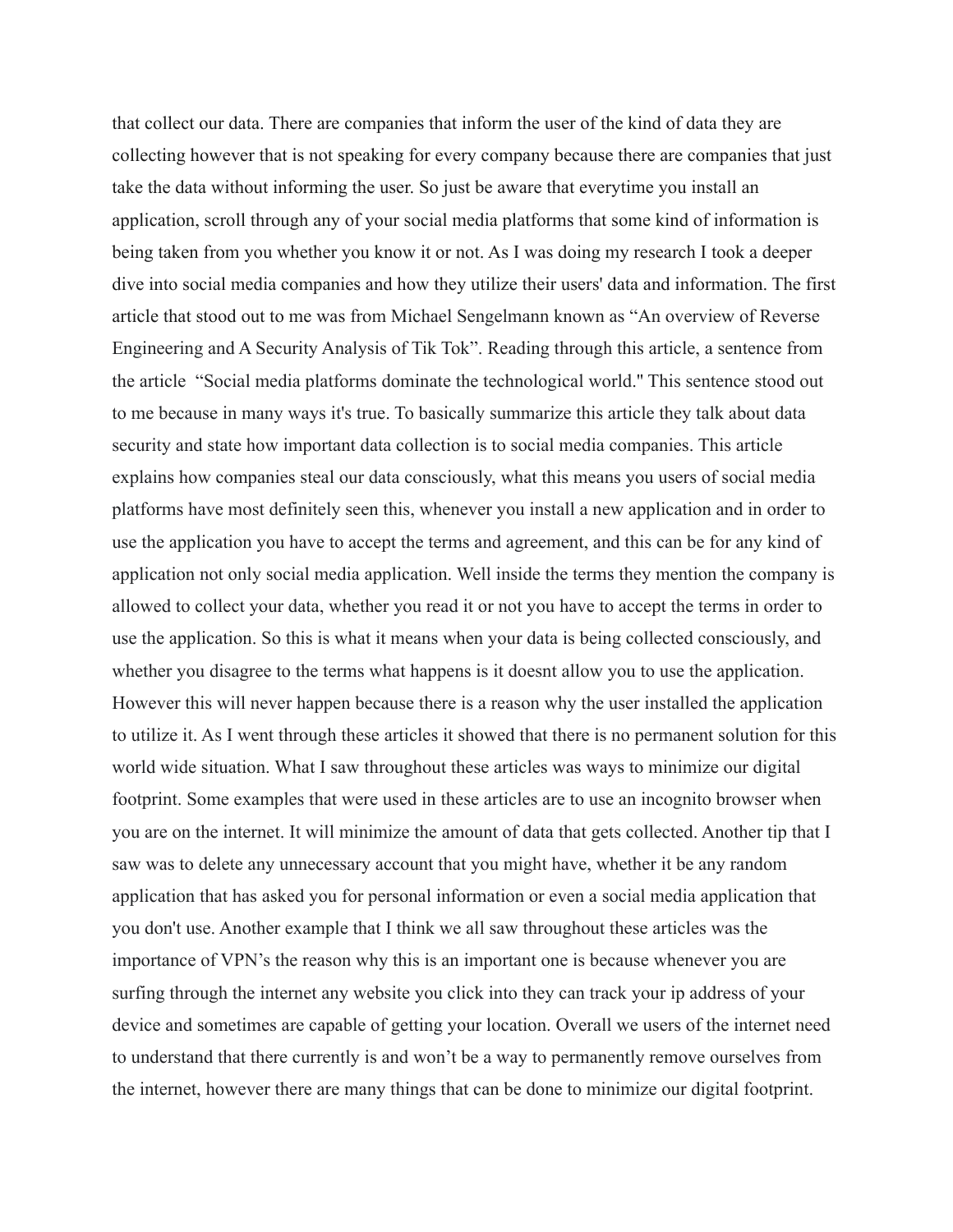that collect our data. There are companies that inform the user of the kind of data they are collecting however that is not speaking for every company because there are companies that just take the data without informing the user. So just be aware that everytime you install an application, scroll through any of your social media platforms that some kind of information is being taken from you whether you know it or not. As I was doing my research I took a deeper dive into social media companies and how they utilize their users' data and information. The first article that stood out to me was from Michael Sengelmann known as "An overview of Reverse Engineering and A Security Analysis of Tik Tok". Reading through this article, a sentence from the article "Social media platforms dominate the technological world.'' This sentence stood out to me because in many ways it's true. To basically summarize this article they talk about data security and state how important data collection is to social media companies. This article explains how companies steal our data consciously, what this means you users of social media platforms have most definitely seen this, whenever you install a new application and in order to use the application you have to accept the terms and agreement, and this can be for any kind of application not only social media application. Well inside the terms they mention the company is allowed to collect your data, whether you read it or not you have to accept the terms in order to use the application. So this is what it means when your data is being collected consciously, and whether you disagree to the terms what happens is it doesnt allow you to use the application. However this will never happen because there is a reason why the user installed the application to utilize it. As I went through these articles it showed that there is no permanent solution for this world wide situation. What I saw throughout these articles was ways to minimize our digital footprint. Some examples that were used in these articles are to use an incognito browser when you are on the internet. It will minimize the amount of data that gets collected. Another tip that I saw was to delete any unnecessary account that you might have, whether it be any random application that has asked you for personal information or even a social media application that you don't use. Another example that I think we all saw throughout these articles was the importance of VPN's the reason why this is an important one is because whenever you are surfing through the internet any website you click into they can track your ip address of your device and sometimes are capable of getting your location. Overall we users of the internet need to understand that there currently is and won't be a way to permanently remove ourselves from the internet, however there are many things that can be done to minimize our digital footprint.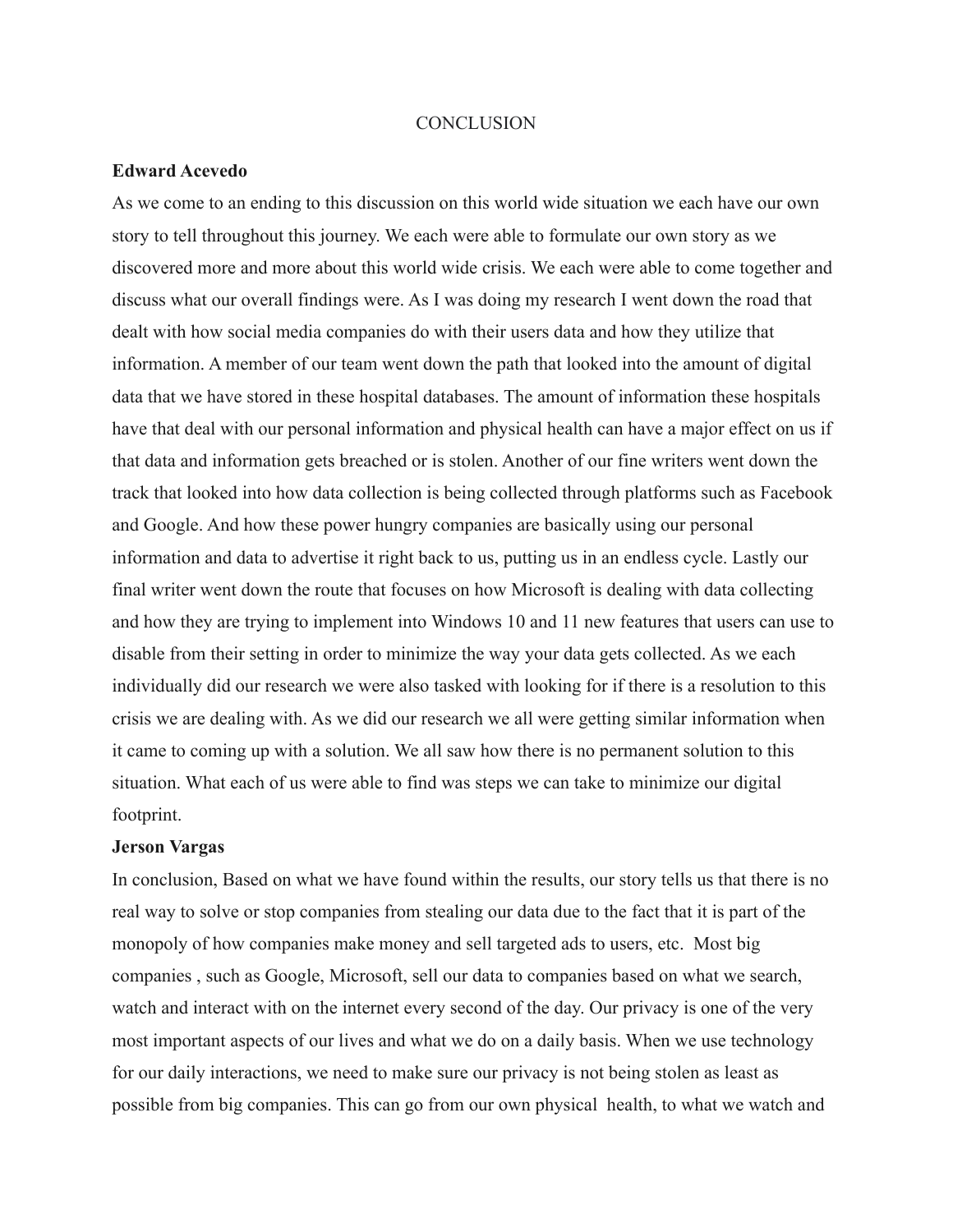#### **CONCLUSION**

#### **Edward Acevedo**

As we come to an ending to this discussion on this world wide situation we each have our own story to tell throughout this journey. We each were able to formulate our own story as we discovered more and more about this world wide crisis. We each were able to come together and discuss what our overall findings were. As I was doing my research I went down the road that dealt with how social media companies do with their users data and how they utilize that information. A member of our team went down the path that looked into the amount of digital data that we have stored in these hospital databases. The amount of information these hospitals have that deal with our personal information and physical health can have a major effect on us if that data and information gets breached or is stolen. Another of our fine writers went down the track that looked into how data collection is being collected through platforms such as Facebook and Google. And how these power hungry companies are basically using our personal information and data to advertise it right back to us, putting us in an endless cycle. Lastly our final writer went down the route that focuses on how Microsoft is dealing with data collecting and how they are trying to implement into Windows 10 and 11 new features that users can use to disable from their setting in order to minimize the way your data gets collected. As we each individually did our research we were also tasked with looking for if there is a resolution to this crisis we are dealing with. As we did our research we all were getting similar information when it came to coming up with a solution. We all saw how there is no permanent solution to this situation. What each of us were able to find was steps we can take to minimize our digital footprint.

#### **Jerson Vargas**

In conclusion, Based on what we have found within the results, our story tells us that there is no real way to solve or stop companies from stealing our data due to the fact that it is part of the monopoly of how companies make money and sell targeted ads to users, etc. Most big companies , such as Google, Microsoft, sell our data to companies based on what we search, watch and interact with on the internet every second of the day. Our privacy is one of the very most important aspects of our lives and what we do on a daily basis. When we use technology for our daily interactions, we need to make sure our privacy is not being stolen as least as possible from big companies. This can go from our own physical health, to what we watch and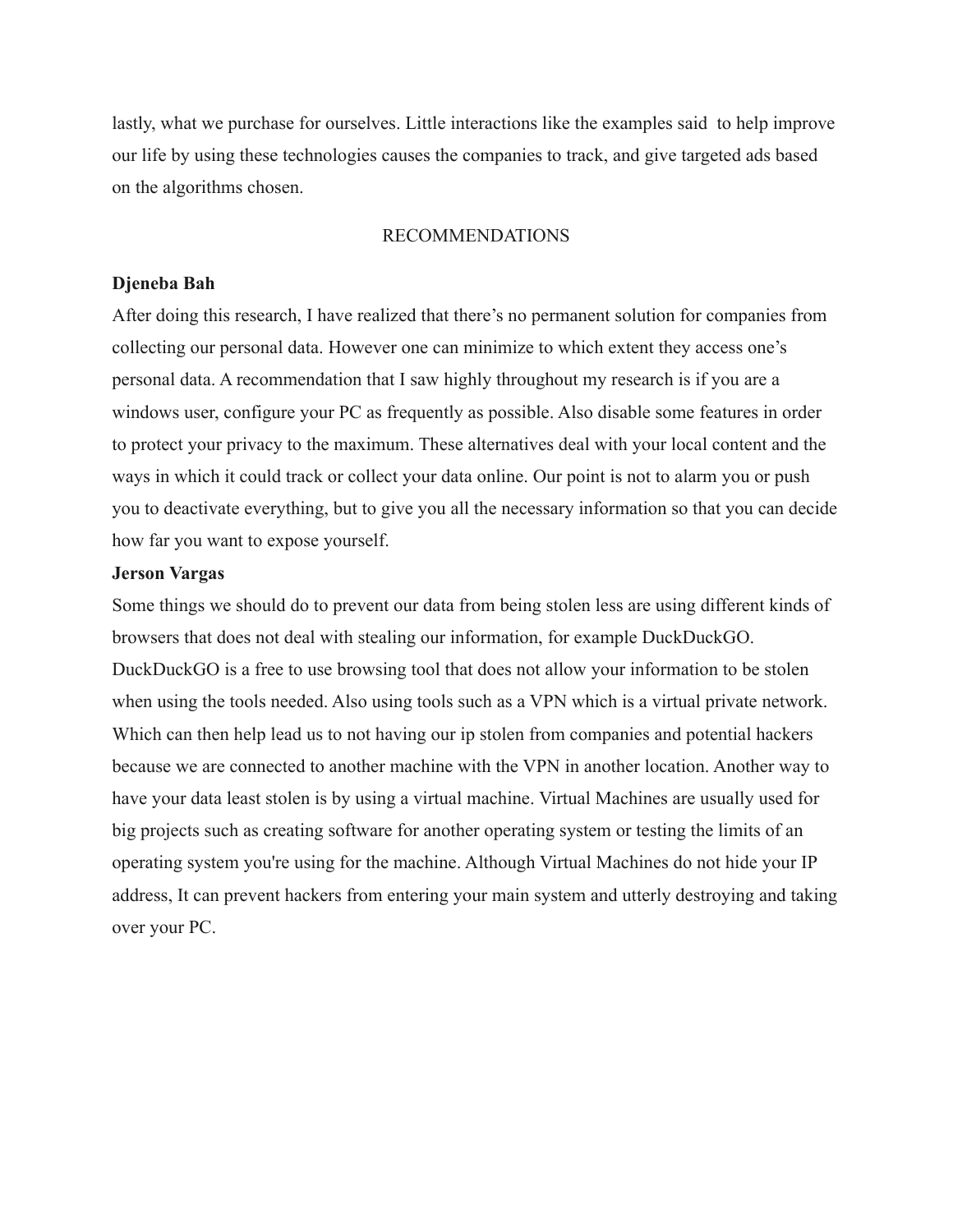lastly, what we purchase for ourselves. Little interactions like the examples said to help improve our life by using these technologies causes the companies to track, and give targeted ads based on the algorithms chosen.

#### RECOMMENDATIONS

#### **Djeneba Bah**

After doing this research, I have realized that there's no permanent solution for companies from collecting our personal data. However one can minimize to which extent they access one's personal data. A recommendation that I saw highly throughout my research is if you are a windows user, configure your PC as frequently as possible. Also disable some features in order to protect your privacy to the maximum. These alternatives deal with your local content and the ways in which it could track or collect your data online. Our point is not to alarm you or push you to deactivate everything, but to give you all the necessary information so that you can decide how far you want to expose yourself.

#### **Jerson Vargas**

Some things we should do to prevent our data from being stolen less are using different kinds of browsers that does not deal with stealing our information, for example DuckDuckGO. DuckDuckGO is a free to use browsing tool that does not allow your information to be stolen when using the tools needed. Also using tools such as a VPN which is a virtual private network. Which can then help lead us to not having our ip stolen from companies and potential hackers because we are connected to another machine with the VPN in another location. Another way to have your data least stolen is by using a virtual machine. Virtual Machines are usually used for big projects such as creating software for another operating system or testing the limits of an operating system you're using for the machine. Although Virtual Machines do not hide your IP address, It can prevent hackers from entering your main system and utterly destroying and taking over your PC.